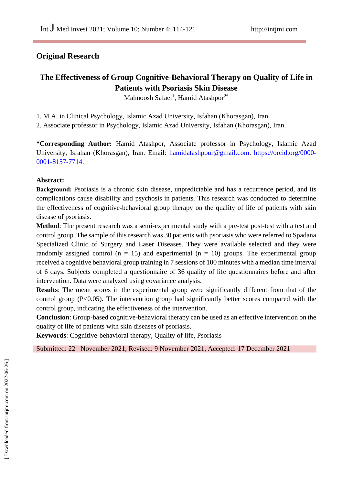# **Original Research**

# **The Effectiveness of Group Cognitive-Behavioral Therapy on Quality of Life in Patients with Psoriasis Skin Disease**

Mahnoosh Safaei<sup>1</sup>, Hamid Atashpor<sup>2\*</sup>

1. M.A. in Clinical Psychology, Islamic Azad University, Isfahan (Khorasgan), Iran.

2. Associate professor in Psychology, Islamic Azad University, Isfahan (Khorasgan), Iran.

**\*Corresponding Author:** Hamid Atashpor, Associate professor in Psychology, Islamic Azad University, Isfahan (Khorasgan), Iran. Email: [hamidatashpour@gmail.com.](mailto:hamidatashpour@gmail.com) [https://orcid.org/0000-](https://orcid.org/0000-0001-8157-7714) [0001-8157-7714.](https://orcid.org/0000-0001-8157-7714)

# **Abstract:**

**Background:** Psoriasis is a chronic skin disease, unpredictable and has a recurrence period, and its complications cause disability and psychosis in patients. This research was conducted to determine the effectiveness of cognitive-behavioral group therapy on the quality of life of patients with skin disease of psoriasis.

**Method**: The present research was a semi-experimental study with a pre-test post-test with a test and control group. The sample of this research was 30 patients with psoriasis who were referred to Spadana Specialized Clinic of Surgery and Laser Diseases. They were available selected and they were randomly assigned control ( $n = 15$ ) and experimental ( $n = 10$ ) groups. The experimental group received a cognitive behavioral group training in 7 sessions of 100 minutes with a median time interval of 6 days. Subjects completed a questionnaire of 36 quality of life questionnaires before and after intervention. Data were analyzed using covariance analysis.

**Results**: The mean scores in the experimental group were significantly different from that of the control group (P<0.05). The intervention group had significantly better scores compared with the control group, indicating the effectiveness of the intervention.

**Conclusion**: Group-based cognitive-behavioral therapy can be used as an effective intervention on the quality of life of patients with skin diseases of psoriasis.

**Keywords**: Cognitive-behavioral therapy, Quality of life, Psoriasis

Submitted: 22 November 2021, Revised: 9 November 2021, Accepted: 17 December 2021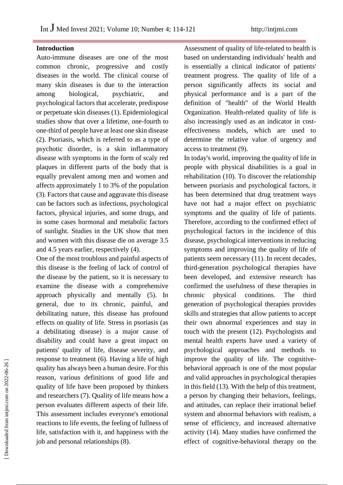#### **Introduction**

Auto-immune diseases are one of the most common chronic, progressive and costly diseases in the world. The clinical course of many skin diseases is due to the interaction among biological, psychiatric, and psychological factors that accelerate, predispose or perpetuate skin diseases (1). Epidemiological studies show that over a lifetime, one-fourth to one-third of people have at least one skin disease (2). Psoriasis, which is referred to as a type of psychotic disorder, is a skin inflammatory disease with symptoms in the form of scaly red plaques in different parts of the body that is equally prevalent among men and women and affects approximately 1 to 3% of the population (3). Factors that cause and aggravate this disease can be factors such as infections, psychological factors, physical injuries, and some drugs, and in some cases hormonal and metabolic factors of sunlight. Studies in the UK show that men and women with this disease die on average 3.5 and 4.5 years earlier, respectively (4).

One of the most troublous and painful aspects of this disease is the feeling of lack of control of the disease by the patient, so it is necessary to examine the disease with a comprehensive approach physically and mentally (5). In general, due to its chronic, painful, and debilitating nature, this disease has profound effects on quality of life. Stress in psoriasis (as a debilitating disease) is a major cause of disability and could have a great impact on patients' quality of life, disease severity, and response to treatment (6). Having a life of high quality has always been a human desire. For this reason, various definitions of good life and quality of life have been proposed by thinkers and researchers (7). Quality of life means how a person evaluates different aspects of their life. This assessment includes everyone's emotional reactions to life events, the feeling of fullness of life, satisfaction with it, and happiness with the job and personal relationships (8).

Assessment of quality of life-related to health is based on understanding individuals' health and is essentially a clinical indicator of patients' treatment progress. The quality of life of a person significantly affects its social and physical performance and is a part of the definition of "health" of the World Health Organization. Health-related quality of life is also increasingly used as an indicator in costeffectiveness models, which are used to determine the relative value of urgency and access to treatment (9).

In today's world, improving the quality of life in people with physical disabilities is a goal in rehabilitation (10). To discover the relationship between psoriasis and psychological factors, it has been determined that drug treatment ways have not had a major effect on psychiatric symptoms and the quality of life of patients. Therefore, according to the confirmed effect of psychological factors in the incidence of this disease, psychological interventions in reducing symptoms and improving the quality of life of patients seem necessary (11). In recent decades, third-generation psychological therapies have been developed, and extensive research has confirmed the usefulness of these therapies in chronic physical conditions. The third generation of psychological therapies provides skills and strategies that allow patients to accept their own abnormal experiences and stay in touch with the present (12). Psychologists and mental health experts have used a variety of psychological approaches and methods to improve the quality of life. The cognitivebehavioral approach is one of the most popular and valid approaches in psychological therapies in this field (13). With the help of this treatment, a person by changing their behaviors, feelings, and attitudes, can replace their irrational belief system and abnormal behaviors with realism, a sense of efficiency, and increased alternative activity (14). Many studies have confirmed the effect of cognitive-behavioral therapy on the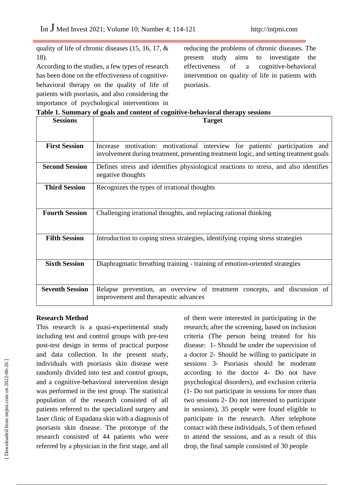quality of life of chronic diseases (15, 16, 17, & 18).

According to the studies, a few types of research has been done on the effectiveness of cognitivebehavioral therapy on the quality of life of patients with psoriasis, and also considering the importance of psychological interventions in

reducing the problems of chronic diseases. The present study aims to investigate the effectiveness of a cognitive-behavioral intervention on quality of life in patients with psoriasis.

|  |  | Table 1. Summary of goals and content of cognitive-behavioral therapy sessions |  |
|--|--|--------------------------------------------------------------------------------|--|

| <b>Sessions</b>        | <b>Target</b>                                                                                                                                                        |
|------------------------|----------------------------------------------------------------------------------------------------------------------------------------------------------------------|
|                        |                                                                                                                                                                      |
| <b>First Session</b>   | Increase motivation: motivational interview for patients' participation and<br>involvement during treatment, presenting treatment logic, and setting treatment goals |
| <b>Second Session</b>  | Defines stress and identifies physiological reactions to stress, and also identifies<br>negative thoughts                                                            |
| <b>Third Session</b>   | Recognizes the types of irrational thoughts                                                                                                                          |
| <b>Fourth Session</b>  | Challenging irrational thoughts, and replacing rational thinking                                                                                                     |
| <b>Fifth Session</b>   | Introduction to coping stress strategies, identifying coping stress strategies                                                                                       |
| <b>Sixth Session</b>   | Diaphragmatic breathing training - training of emotion-oriented strategies                                                                                           |
| <b>Seventh Session</b> | Relapse prevention, an overview of treatment concepts, and discussion of<br>improvement and therapeutic advances                                                     |

#### **Research Method**

This research is a quasi-experimental study including test and control groups with pre-test post-test design in terms of practical purpose and data collection. In the present study, individuals with psoriasis skin disease were randomly divided into test and control groups, and a cognitive-behavioral intervention design was performed in the test group. The statistical population of the research consisted of all patients referred to the specialized surgery and laser clinic of Espadana skin with a diagnosis of psoriasis skin disease. The prototype of the research consisted of 44 patients who were referred by a physician in the first stage, and all

of them were interested in participating in the research; after the screening, based on inclusion criteria (The person being treated for his disease: 1- Should be under the supervision of a doctor 2- Should be willing to participate in sessions 3- Psoriasis should be moderate according to the doctor 4- Do not have psychological disorders), and exclusion criteria (1- Do not participate in sessions for more than two sessions 2- Do not interested to participate in sessions), 35 people were found eligible to participate in the research. After telephone contact with these individuals, 5 of them refused to attend the sessions, and as a result of this drop, the final sample consisted of 30 people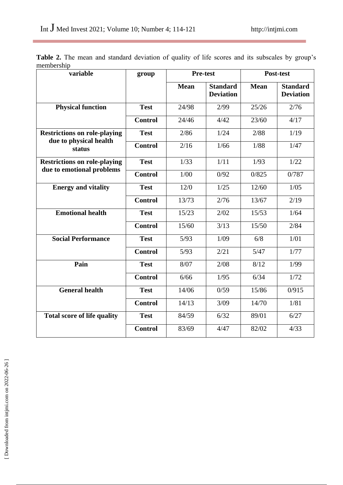i.

|            |  |  | Table 2. The mean and standard deviation of quality of life scores and its subscales by group's |  |  |  |  |  |  |
|------------|--|--|-------------------------------------------------------------------------------------------------|--|--|--|--|--|--|
| membership |  |  |                                                                                                 |  |  |  |  |  |  |

| variable                                                      | group          | <b>Pre-test</b> |                                     | Post-test   |                                     |  |  |
|---------------------------------------------------------------|----------------|-----------------|-------------------------------------|-------------|-------------------------------------|--|--|
|                                                               |                | <b>Mean</b>     | <b>Standard</b><br><b>Deviation</b> | <b>Mean</b> | <b>Standard</b><br><b>Deviation</b> |  |  |
| <b>Physical function</b>                                      | <b>Test</b>    | 24/98           | 2/99                                | 25/26       | 2/76                                |  |  |
|                                                               | <b>Control</b> | 24/46           | 4/42                                | 23/60       | 4/17                                |  |  |
| <b>Restrictions on role-playing</b><br>due to physical health | <b>Test</b>    | 2/86            | 1/24                                | 2/88        | 1/19                                |  |  |
| status                                                        | <b>Control</b> | 2/16            | 1/66                                | 1/88        | 1/47                                |  |  |
| <b>Restrictions on role-playing</b>                           | <b>Test</b>    | 1/33            | 1/11                                | 1/93        | 1/22                                |  |  |
| due to emotional problems                                     | <b>Control</b> | 1/00            | 0/92                                | 0/825       | 0/787                               |  |  |
| <b>Energy and vitality</b>                                    | <b>Test</b>    | 12/0            | 1/25                                | 12/60       | 1/05                                |  |  |
|                                                               | <b>Control</b> | 13/73           | 2/76                                | 13/67       | 2/19                                |  |  |
| <b>Emotional health</b>                                       | <b>Test</b>    | 15/23           | 2/02                                | 15/53       | 1/64                                |  |  |
|                                                               | <b>Control</b> | 15/60           | 3/13                                | 15/50       | 2/84                                |  |  |
| <b>Social Performance</b>                                     | <b>Test</b>    | 5/93            | 1/09                                | 6/8         | 1/01                                |  |  |
|                                                               | <b>Control</b> | 5/93            | 2/21                                | 5/47        | 1/77                                |  |  |
| Pain                                                          | <b>Test</b>    | 8/07            | 2/08                                | 8/12        | 1/99                                |  |  |
|                                                               | <b>Control</b> | 6/66            | 1/95                                | 6/34        | 1/72                                |  |  |
| <b>General health</b>                                         | <b>Test</b>    | 14/06           | 0/59                                | 15/86       | 0/915                               |  |  |
|                                                               | <b>Control</b> | 14/13           | 3/09                                | 14/70       | 1/81                                |  |  |
| <b>Total score of life quality</b>                            | <b>Test</b>    | 84/59           | 6/32                                | 89/01       | 6/27                                |  |  |
|                                                               | <b>Control</b> | 83/69           | 4/47                                | 82/02       | 4/33                                |  |  |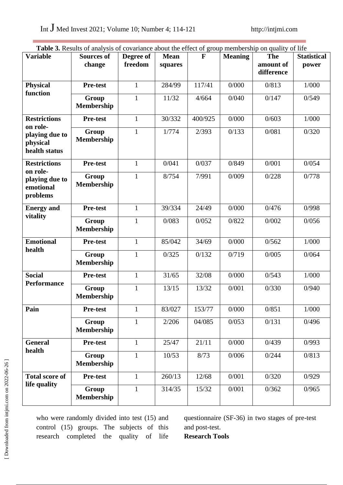| <b>Table 3.</b> Results of analysis of covariance about the effect of group membership on quality of life |                            |              |             |              |                |            |                    |  |  |
|-----------------------------------------------------------------------------------------------------------|----------------------------|--------------|-------------|--------------|----------------|------------|--------------------|--|--|
| <b>Variable</b>                                                                                           | <b>Sources of</b>          | Degree of    | <b>Mean</b> | $\mathbf{F}$ | <b>Meaning</b> | <b>The</b> | <b>Statistical</b> |  |  |
|                                                                                                           | change                     | freedom      | squares     |              |                | amount of  | power              |  |  |
|                                                                                                           |                            |              |             |              |                | difference |                    |  |  |
| <b>Physical</b><br>function                                                                               | <b>Pre-test</b>            | $\mathbf{1}$ | 284/99      | 117/41       | 0/000          | 0/813      | 1/000              |  |  |
|                                                                                                           | Group                      | 1            | 11/32       | 4/664        | 0/040          | 0/147      | 0/549              |  |  |
|                                                                                                           | <b>Membership</b>          |              |             |              |                |            |                    |  |  |
| <b>Restrictions</b><br>on role-                                                                           | <b>Pre-test</b>            | $\mathbf{1}$ | 30/332      | 400/925      | 0/000          | 0/603      | 1/000              |  |  |
| playing due to                                                                                            | Group                      | $\mathbf{1}$ | 1/774       | 2/393        | 0/133          | 0/081      | 0/320              |  |  |
| physical                                                                                                  | <b>Membership</b>          |              |             |              |                |            |                    |  |  |
| health status                                                                                             |                            |              |             |              |                |            |                    |  |  |
| <b>Restrictions</b><br>on role-                                                                           | <b>Pre-test</b>            | $\mathbf{1}$ | 0/041       | 0/037        | 0/849          | 0/001      | 0/054              |  |  |
| playing due to                                                                                            | Group                      | $\mathbf{1}$ | 8/754       | 7/991        | 0/009          | 0/228      | 0/778              |  |  |
| emotional                                                                                                 | <b>Membership</b>          |              |             |              |                |            |                    |  |  |
| problems                                                                                                  |                            |              |             |              |                |            |                    |  |  |
| <b>Energy and</b>                                                                                         | <b>Pre-test</b>            | $\mathbf{1}$ | 39/334      | 24/49        | 0/000          | 0/476      | 0/998              |  |  |
| vitality                                                                                                  |                            |              |             |              |                |            |                    |  |  |
|                                                                                                           | Group                      | 1            | 0/083       | 0/052        | 0/822          | 0/002      | 0/056              |  |  |
|                                                                                                           | <b>Membership</b>          |              |             |              |                |            |                    |  |  |
| <b>Emotional</b>                                                                                          | <b>Pre-test</b>            | $\mathbf{1}$ | 85/042      | 34/69        | 0/000          | 0/562      | 1/000              |  |  |
| health                                                                                                    | Group                      | $\mathbf{1}$ | 0/325       | 0/132        | 0/719          | 0/005      | 0/064              |  |  |
|                                                                                                           | <b>Membership</b>          |              |             |              |                |            |                    |  |  |
| <b>Social</b>                                                                                             | <b>Pre-test</b>            | $\mathbf{1}$ | 31/65       | 32/08        | 0/000          | 0/543      | 1/000              |  |  |
| <b>Performance</b>                                                                                        |                            |              |             |              |                |            |                    |  |  |
|                                                                                                           | Group<br><b>Membership</b> | $\mathbf{1}$ | 13/15       | 13/32        | 0/001          | 0/330      | 0/940              |  |  |
|                                                                                                           |                            |              |             |              |                |            |                    |  |  |
| Pain                                                                                                      | <b>Pre-test</b>            | $\mathbf{1}$ | 83/027      | 153/77       | 0/000          | 0/851      | 1/000              |  |  |
|                                                                                                           | Group                      | $\mathbf{1}$ | 2/206       | 04/085       | 0/053          | 0/131      | 0/496              |  |  |
|                                                                                                           | Membership                 |              |             |              |                |            |                    |  |  |
| <b>General</b><br>health                                                                                  | Pre-test                   | $\mathbf{1}$ | 25/47       | 21/11        | 0/000          | 0/439      | 0/993              |  |  |
|                                                                                                           | Group                      | $\mathbf{1}$ | 10/53       | 8/73         | 0/006          | 0/244      | 0/813              |  |  |
|                                                                                                           | <b>Membership</b>          |              |             |              |                |            |                    |  |  |
| <b>Total score of</b>                                                                                     | <b>Pre-test</b>            | $\mathbf{1}$ | 260/13      | 12/68        | 0/001          | 0/320      | 0/929              |  |  |
| life quality                                                                                              |                            |              |             |              |                |            |                    |  |  |
|                                                                                                           | Group                      | $\mathbf{1}$ | 314/35      | 15/32        | 0/001          | 0/362      | 0/965              |  |  |
|                                                                                                           | <b>Membership</b>          |              |             |              |                |            |                    |  |  |

who were randomly divided into test (15) and control (15) groups. The subjects of this research completed the quality of life questionnaire (SF-36) in two stages of pre-test and post-test.

**Research Tools**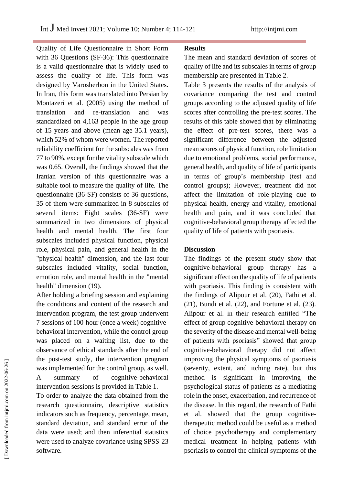Quality of Life Questionnaire in Short Form with 36 Questions (SF-36): This questionnaire is a valid questionnaire that is widely used to assess the quality of life. This form was designed by Varosherbon in the United States. In Iran, this form was translated into Persian by Montazeri et al. (2005) using the method of translation and re-translation and was standardized on 4,163 people in the age group of 15 years and above (mean age 35.1 years), which 52% of whom were women. The reported reliability coefficient for the subscales was from 77 to 90%, except for the vitality subscale which was 0.65. Overall, the findings showed that the Iranian version of this questionnaire was a suitable tool to measure the quality of life. The questionnaire (36-SF) consists of 36 questions, 35 of them were summarized in 8 subscales of several items: Eight scales (36-SF) were summarized in two dimensions of physical health and mental health. The first four subscales included physical function, physical role, physical pain, and general health in the "physical health" dimension, and the last four subscales included vitality, social function, emotion role, and mental health in the "mental health" dimension (19).

After holding a briefing session and explaining the conditions and content of the research and intervention program, the test group underwent 7 sessions of 100-hour (once a week) cognitivebehavioral intervention, while the control group was placed on a waiting list, due to the observance of ethical standards after the end of the post-test study, the intervention program was implemented for the control group, as well. A summary of cognitive-behavioral intervention sessions is provided in Table 1.

To order to analyze the data obtained from the research questionnaire, descriptive statistics indicators such as frequency, percentage, mean, standard deviation, and standard error of the data were used; and then inferential statistics were used to analyze covariance using SPSS-23 software.

#### **Results**

The mean and standard deviation of scores of quality of life and its subscales in terms of group membership are presented in Table 2.

Table 3 presents the results of the analysis of covariance comparing the test and control groups according to the adjusted quality of life scores after controlling the pre-test scores. The results of this table showed that by eliminating the effect of pre-test scores, there was a significant difference between the adjusted mean scores of physical function, role limitation due to emotional problems, social performance, general health, and quality of life of participants in terms of group's membership (test and control groups); However, treatment did not affect the limitation of role-playing due to physical health, energy and vitality, emotional health and pain, and it was concluded that cognitive-behavioral group therapy affected the quality of life of patients with psoriasis.

# **Discussion**

The findings of the present study show that cognitive-behavioral group therapy has a significant effect on the quality of life of patients with psoriasis. This finding is consistent with the findings of Alipour et al. (20), Fathi et al. (21), Bundi et al. (22), and Fortune et al. (23). Alipour et al. in their research entitled "The effect of group cognitive-behavioral therapy on the severity of the disease and mental well-being of patients with psoriasis" showed that group cognitive-behavioral therapy did not affect improving the physical symptoms of psoriasis (severity, extent, and itching rate), but this method is significant in improving the psychological status of patients as a mediating role in the onset, exacerbation, and recurrence of the disease. In this regard, the research of Fathi et al. showed that the group cognitivetherapeutic method could be useful as a method of choice psychotherapy and complementary medical treatment in helping patients with psoriasis to control the clinical symptoms of the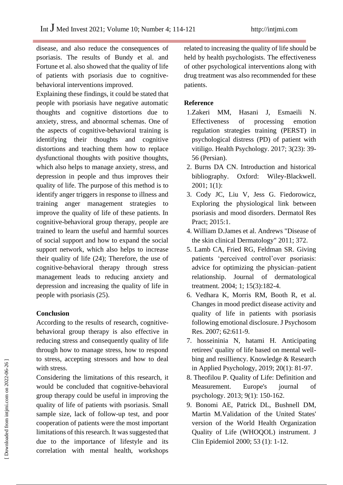disease, and also reduce the consequences of psoriasis. The results of Bundy et al. and Fortune et al. also showed that the quality of life of patients with psoriasis due to cognitivebehavioral interventions improved.

Explaining these findings, it could be stated that people with psoriasis have negative automatic thoughts and cognitive distortions due to anxiety, stress, and abnormal schemas. One of the aspects of cognitive-behavioral training is identifying their thoughts and cognitive distortions and teaching them how to replace dysfunctional thoughts with positive thoughts, which also helps to manage anxiety, stress, and depression in people and thus improves their quality of life. The purpose of this method is to identify anger triggers in response to illness and training anger management strategies to improve the quality of life of these patients. In cognitive-behavioral group therapy, people are trained to learn the useful and harmful sources of social support and how to expand the social support network, which also helps to increase their quality of life (24); Therefore, the use of cognitive-behavioral therapy through stress management leads to reducing anxiety and depression and increasing the quality of life in people with psoriasis (25).

# **Conclusion**

According to the results of research, cognitivebehavioral group therapy is also effective in reducing stress and consequently quality of life through how to manage stress, how to respond to stress, accepting stressors and how to deal with stress.

Considering the limitations of this research, it would be concluded that cognitive-behavioral group therapy could be useful in improving the quality of life of patients with psoriasis. Small sample size, lack of follow-up test, and poor cooperation of patients were the most important limitations of this research. It was suggested that due to the importance of lifestyle and its correlation with mental health, workshops related to increasing the quality of life should be held by health psychologists. The effectiveness of other psychological interventions along with drug treatment was also recommended for these patients.

### **Reference**

- 1.Zakeri MM, Hasani J, Esmaeili N. Effectiveness of processing emotion regulation strategies training (PERST) in psychological distress (PD) of patient with vitiligo. Health Psychology. 2017; 3(23): 39- 56 (Persian).
- 2. Burns DA CN. Introduction and historical bibliography. Oxford: Wiley-Blackwell. 2001; 1(1):
- 3. Cody JC, Liu V, Jess G. Fiedorowicz, Exploring the physiological link between psoriasis and mood disorders. Dermatol Res Pract; 2015:1.
- 4. William D.James et al. Andrews "Disease of the skin clinical Dermatology" 2011; 372.
- 5. Lamb CA, Fried RG, Feldman SR. Giving patients 'perceived control'over psoriasis: advice for optimizing the physician–patient relationship. Journal of dermatological treatment. 2004; 1; 15(3):182-4.
- 6. Vedhara K, Morris RM, Booth R, et al. Changes in mood predict disease activity and quality of life in patients with psoriasis following emotional disclosure. J Psychosom Res. 2007; 62:611-9.
- 7. hosseininia N, hatami H. Anticipating retirees' quality of life based on mental wellbing and resilliency. Knowledge & Research in Applied Psychology, 2019; 20(1): 81-97.
- 8. Theofilou P. Quality of Life: Definition and Measurement. Europe's journal of psychology. 2013; 9(1): 150-162.
- 9. Bonomi AE, Patrick DL, Bushnell DM, Martin M.Validation of the United States' version of the World Health Organization Quality of Life (WHOQOL) instrument. J Clin Epidemiol 2000; 53 (1): 1-12.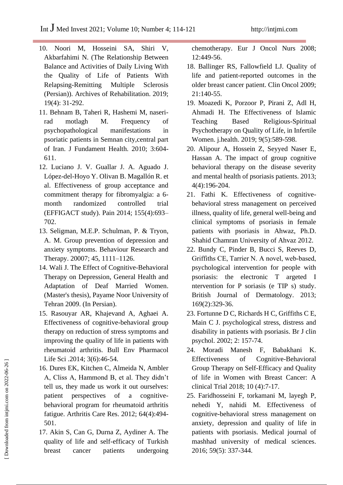- 10. Noori M, Hosseini SA, Shiri V, Akbarfahimi N. (The Relationship Between Balance and Activities of Daily Living With the Quality of Life of Patients With Relapsing-Remitting Multiple Sclerosis (Persian)). Archives of Rehabilitation. 2019; 19(4): 31-292.
- 11. Behnam B, Taheri R, Hashemi M, naserirad motlagh M. Frequency of psychopathological manifestations in psoriatic patients in Semnan city,central part of Iran. J Fundament Health. 2010; 3:604- 611.
- 12. Luciano J. V. Guallar J. A. Aguado J. López-del-Hoyo Y. Olivan B. Magallón R. et al. Effectiveness of group acceptance and commitment therapy for fibromyalgia: a 6 month randomized controlled trial (EFFIGACT study). Pain 2014; 155(4):693– 702.
- 13. Seligman, M.E.P. Schulman, P. & Tryon, A. M. Group prevention of depression and anxiety symptoms. Behaviour Research and Therapy. 20007; 45, 1111–1126.
- 14. Wali J. The Effect of Cognitive-Behavioral Therapy on Depression, General Health and Adaptation of Deaf Married Women. (Master's thesis), Payame Noor University of Tehran 2009. (In Persian).
- 15. Rasouyar AR, Khajevand A, Aghaei A. Effectiveness of cognitive-behavioral group therapy on reduction of stress symptoms and improving the quality of life in patients with rheumatoid arthritis. Bull Env Pharmacol Life Sci .2014; 3(6):46-54.
- 16. Dures EK, Kitchen C, Almeida N, Ambler A, Cliss A, Hammond B, et al. They didn't tell us, they made us work it out ourselves: patient perspectives of a cognitivebehavioral program for rheumatoid arthritis fatigue. Arthritis Care Res. 2012; 64(4):494- 501.
- 17. Akin S, Can G, Durna Z, Aydiner A. The quality of life and self-efficacy of Turkish breast cancer patients undergoing

chemotherapy. Eur J Oncol Nurs 2008; 12:449-56.

- 18. Ballinger RS, Fallowfield LJ. Quality of life and patient-reported outcomes in the older breast cancer patient. Clin Oncol 2009; 21:140-55.
- 19. Moazedi K, Porzoor P, Pirani Z, Adl H, Ahmadi H. The Effectiveness of Islamic Teaching Based Religious-Spiritual Psychotherapy on Quality of Life, in Infertile Women. j.health. 2019; 9(5):589-598.
- 20. Alipour A, Hossein Z, Seyyed Naser E, Hassan A. The impact of group cognitive behavioral therapy on the disease severity and mental health of psoriasis patients. 2013; 4(4):196-204.
- 21. Fathi K. Effectiveness of cognitivebehavioral stress management on perceived illness, quality of life, general well-being and clinical symptoms of psoriasis in female patients with psoriasis in Ahwaz, Ph.D. Shahid Chamran University of Ahvaz 2012.
- 22. Bundy C, Pinder B, Bucci S, Reeves D, Griffiths CE, Tarrier N. A novel, web‐based, psychological intervention for people with psoriasis: the electronic T argeted I ntervention for P soriasis (e TIP s) study. British Journal of Dermatology. 2013; 169(2):329-36.
- 23. Fortunne D C, Richards H C, Griffiths C E, Main C J. psychological stress, distress and disability in patients with psoriasis. Br J clin psychol. 2002; 2: 157-74.
- 24. Moradi Manesh F, Babakhani K. Effectiveness of Cognitive-Behavioral Group Therapy on Self-Efficacy and Quality of life in Women with Breast Cancer: A clinical Trial 2018; 10 (4):7-17.
- 25. Faridhosseini F, torkamani M, layegh P, nehedi Y, nahidi M. Effectiveness of cognitive-behavioral stress management on anxiety, depression and quality of life in patients with psoriasis. Medical journal of mashhad university of medical sciences. 2016; 59(5): 337-344.